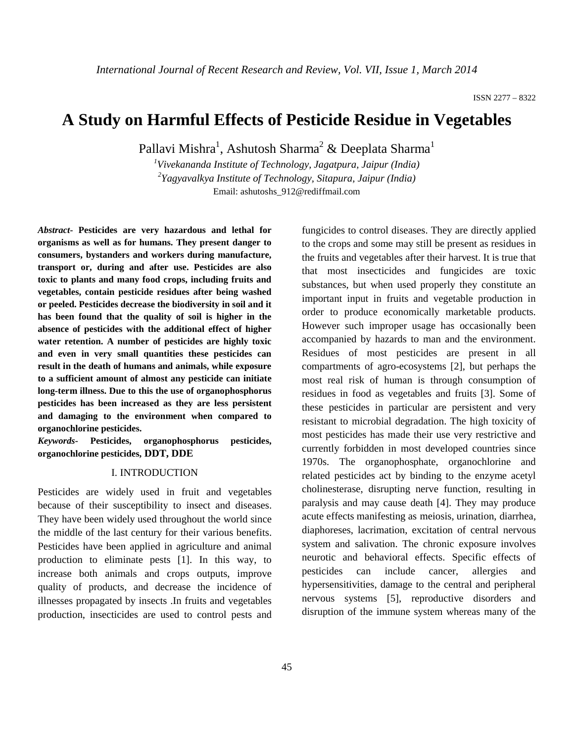# **A Study on Harmful Effects of Pesticide Residue in Vegetables**

Pallavi Mishra<sup>1</sup>, Ashutosh Sharma<sup>2</sup> & Deeplata Sharma<sup>1</sup>

*1 Vivekananda Institute of Technology, Jagatpura, Jaipur (India) 2 Yagyavalkya Institute of Technology, Sitapura, Jaipur (India)* Email: ashutoshs\_912@rediffmail.com

*Abstract***- Pesticides are very hazardous and lethal for organisms as well as for humans. They present danger to consumers, bystanders and workers during manufacture, transport or, during and after use. Pesticides are also toxic to plants and many food crops, including fruits and vegetables, contain pesticide residues after being washed or peeled. Pesticides decrease the biodiversity in soil and it has been found that the quality of soil is higher in the absence of pesticides with the additional effect of higher water retention. A number of pesticides are highly toxic and even in very small quantities these pesticides can result in the death of humans and animals, while exposure to a sufficient amount of almost any pesticide can initiate long-term illness. Due to this the use of organophosphorus pesticides has been increased as they are less persistent and damaging to the environment when compared to organochlorine pesticides.**

*Keywords-* **Pesticides, organophosphorus pesticides, organochlorine pesticides, DDT, DDE**

#### I. INTRODUCTION

Pesticides are widely used in fruit and vegetables because of their susceptibility to insect and diseases. They have been widely used throughout the world since the middle of the last century for their various benefits. Pesticides have been applied in agriculture and animal production to eliminate pests [1]. In this way, to increase both animals and crops outputs, improve quality of products, and decrease the incidence of illnesses propagated by insects .In fruits and vegetables production, insecticides are used to control pests and fungicides to control diseases. They are directly applied to the crops and some may still be present as residues in the fruits and vegetables after their harvest. It is true that that most insecticides and fungicides are toxic substances, but when used properly they constitute an important input in fruits and vegetable production in order to produce economically marketable products. However such improper usage has occasionally been accompanied by hazards to man and the environment. Residues of most pesticides are present in all compartments of agro-ecosystems [2], but perhaps the most real risk of human is through consumption of residues in food as vegetables and fruits [3]. Some of these pesticides in particular are persistent and very resistant to microbial degradation. The high toxicity of most pesticides has made their use very restrictive and currently forbidden in most developed countries since 1970s. The organophosphate, organochlorine and related pesticides act by binding to the enzyme acetyl cholinesterase, disrupting nerve function, resulting in paralysis and may cause death [4]. They may produce acute effects manifesting as meiosis, urination, diarrhea, diaphoreses, lacrimation, excitation of central nervous system and salivation. The chronic exposure involves neurotic and behavioral effects. Specific effects of pesticides can include cancer, allergies and hypersensitivities, damage to the central and peripheral nervous systems [5], reproductive disorders and disruption of the immune system whereas many of the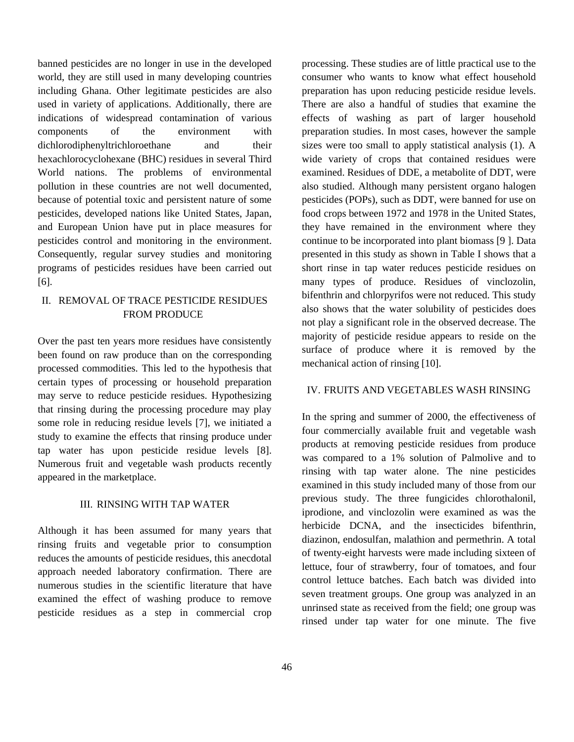banned pesticides are no longer in use in the developed world, they are still used in many developing countries including Ghana. Other legitimate pesticides are also used in variety of applications. Additionally, there are indications of widespread contamination of various components of the environment with dichlorodiphenyltrichloroethane and their hexachlorocyclohexane (BHC) residues in several Third World nations. The problems of environmental pollution in these countries are not well documented, because of potential toxic and persistent nature of some pesticides, developed nations like United States, Japan, and European Union have put in place measures for pesticides control and monitoring in the environment. Consequently, regular survey studies and monitoring programs of pesticides residues have been carried out [6].

### II. REMOVAL OF TRACE PESTICIDE RESIDUES FROM PRODUCE

Over the past ten years more residues have consistently been found on raw produce than on the corresponding processed commodities. This led to the hypothesis that certain types of processing or household preparation may serve to reduce pesticide residues. Hypothesizing that rinsing during the processing procedure may play some role in reducing residue levels [7], we initiated a study to examine the effects that rinsing produce under tap water has upon pesticide residue levels [8]. Numerous fruit and vegetable wash products recently appeared in the marketplace.

#### III. RINSING WITH TAP WATER

Although it has been assumed for many years that rinsing fruits and vegetable prior to consumption reduces the amounts of pesticide residues, this anecdotal approach needed laboratory confirmation. There are numerous studies in the scientific literature that have examined the effect of washing produce to remove pesticide residues as a step in commercial crop processing. These studies are of little practical use to the consumer who wants to know what effect household preparation has upon reducing pesticide residue levels. There are also a handful of studies that examine the effects of washing as part of larger household preparation studies. In most cases, however the sample sizes were too small to apply statistical analysis (1). A wide variety of crops that contained residues were examined. Residues of DDE, a metabolite of DDT, were also studied. Although many persistent organo halogen pesticides (POPs), such as DDT, were banned for use on food crops between 1972 and 1978 in the United States, they have remained in the environment where they continue to be incorporated into plant biomass [9 ]. Data presented in this study as shown in Table I shows that a short rinse in tap water reduces pesticide residues on many types of produce. Residues of vinclozolin, bifenthrin and chlorpyrifos were not reduced. This study also shows that the water solubility of pesticides does not play a significant role in the observed decrease. The majority of pesticide residue appears to reside on the surface of produce where it is removed by the mechanical action of rinsing [10].

#### IV. FRUITS AND VEGETABLES WASH RINSING

In the spring and summer of 2000, the effectiveness of four commercially available fruit and vegetable wash products at removing pesticide residues from produce was compared to a 1% solution of Palmolive and to rinsing with tap water alone. The nine pesticides examined in this study included many of those from our previous study. The three fungicides chlorothalonil, iprodione, and vinclozolin were examined as was the herbicide DCNA, and the insecticides bifenthrin, diazinon, endosulfan, malathion and permethrin. A total of twenty-eight harvests were made including sixteen of lettuce, four of strawberry, four of tomatoes, and four control lettuce batches. Each batch was divided into seven treatment groups. One group was analyzed in an unrinsed state as received from the field; one group was rinsed under tap water for one minute. The five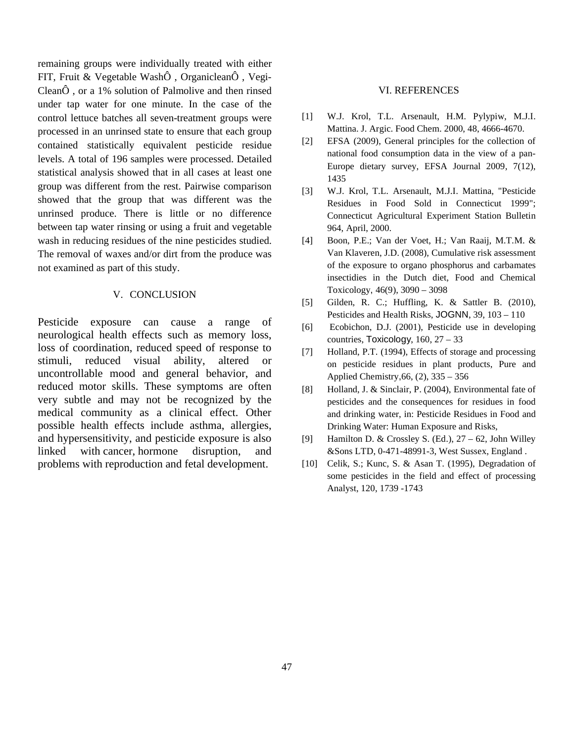remaining groups were individually treated with either FIT, Fruit & Vegetable WashÔ , OrganicleanÔ , Vegi-CleanÔ , or a 1% solution of Palmolive and then rinsed under tap water for one minute. In the case of the control lettuce batches all seven-treatment groups were processed in an unrinsed state to ensure that each group contained statistically equivalent pesticide residue levels. A total of 196 samples were processed. Detailed statistical analysis showed that in all cases at least one group was different from the rest. Pairwise comparison showed that the group that was different was the unrinsed produce. There is little or no difference between tap water rinsing or using a fruit and vegetable wash in reducing residues of the nine pesticides studied. The removal of waxes and/or dirt from the produce was not examined as part of this study.

#### V. CONCLUSION

Pesticide exposure can cause a range of neurological health effects such as memory loss, loss of coordination, reduced speed of response to stimuli, reduced visual ability, altered or uncontrollable mood and general behavior, and reduced motor skills. These symptoms are often very subtle and may not be recognized by the medical community as a clinical effect. Other possible health effects include asthma, allergies, and hypersensitivity, and pesticide exposure is also linked with cancer, hormone disruption, and problems with reproduction and fetal development.

#### VI. REFERENCES

- [1] W.J. Krol, T.L. Arsenault, H.M. Pylypiw, M.J.I. Mattina. J. Argic. Food Chem. 2000, 48, 4666-4670.
- [2] EFSA (2009), General principles for the collection of national food consumption data in the view of a pan-Europe dietary survey, EFSA Journal 2009, 7(12), 1435
- [3] W.J. Krol, T.L. Arsenault, M.J.I. Mattina, "Pesticide Residues in Food Sold in Connecticut 1999"; Connecticut Agricultural Experiment Station Bulletin 964, April, 2000.
- [4] Boon, P.E.; Van der Voet, H.; Van Raaij, M.T.M. & Van Klaveren, J.D. (2008), Cumulative risk assessment of the exposure to organo phosphorus and carbamates insectidies in the Dutch diet, Food and Chemical Toxicology, 46(9), 3090 – 3098
- [5] Gilden, R. C.; Huffling, K. & Sattler B. (2010), Pesticides and Health Risks, JOGNN, 39, 103 – 110
- [6] Ecobichon, D.J. (2001), Pesticide use in developing countries, Toxicology,  $160$ ,  $27 - 33$
- [7] Holland, P.T. (1994), Effects of storage and processing on pesticide residues in plant products, Pure and Applied Chemistry,66, (2), 335 – 356
- [8] Holland, J. & Sinclair, P. (2004), Environmental fate of pesticides and the consequences for residues in food and drinking water, in: Pesticide Residues in Food and Drinking Water: Human Exposure and Risks,
- [9] Hamilton D. & Crossley S. (Ed.),  $27 62$ , John Willey &Sons LTD, 0-471-48991-3, West Sussex, England .
- [10] Celik, S.; Kunc, S. & Asan T. (1995), Degradation of some pesticides in the field and effect of processing Analyst, 120, 1739 -1743